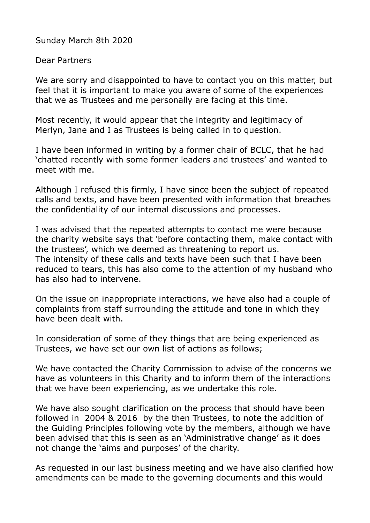Sunday March 8th 2020

Dear Partners

We are sorry and disappointed to have to contact you on this matter, but feel that it is important to make you aware of some of the experiences that we as Trustees and me personally are facing at this time.

Most recently, it would appear that the integrity and legitimacy of Merlyn, Jane and I as Trustees is being called in to question.

I have been informed in writing by a former chair of BCLC, that he had 'chatted recently with some former leaders and trustees' and wanted to meet with me.

Although I refused this firmly, I have since been the subject of repeated calls and texts, and have been presented with information that breaches the confidentiality of our internal discussions and processes.

I was advised that the repeated attempts to contact me were because the charity website says that 'before contacting them, make contact with the trustees', which we deemed as threatening to report us. The intensity of these calls and texts have been such that I have been reduced to tears, this has also come to the attention of my husband who has also had to intervene.

On the issue on inappropriate interactions, we have also had a couple of complaints from staff surrounding the attitude and tone in which they have been dealt with.

In consideration of some of they things that are being experienced as Trustees, we have set our own list of actions as follows;

We have contacted the Charity Commission to advise of the concerns we have as volunteers in this Charity and to inform them of the interactions that we have been experiencing, as we undertake this role.

We have also sought clarification on the process that should have been followed in 2004 & 2016 by the then Trustees, to note the addition of the Guiding Principles following vote by the members, although we have been advised that this is seen as an 'Administrative change' as it does not change the 'aims and purposes' of the charity.

As requested in our last business meeting and we have also clarified how amendments can be made to the governing documents and this would